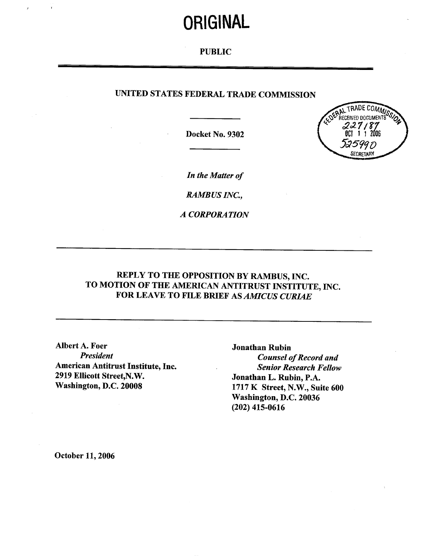# **ORIGINAL**

### PUBLIC

### UNITED STATES FEDERAL TRADE COMMISSION

Docket No. 9302



In the Matter of

RAMBUS INC.

A CORPORATION

## REPLY TO THE OPPOSITION BY RAMBUS, INC. TO MOTION OF THE AMERICAN ANTITRUST INSTITUTE, INC. FOR LEAVE TO FILE BRIEF AS *AMICUS CURIAE*

Albert A. Foer Jonathan Rubin<br>President Counsel a American Antitrust Institute, Inc.<br>
2919 Ellicott Street, N.W.<br>
3919 Ellicott Street, N.W.<br>
3000 Jonathan L. Rubin, P.A. 2919 Ellicott Street, N.W.<br>
Washington, D.C. 20008 1717 K Street, N.W., Sui

**Counsel of Record and** 1717 K Street, N.W., Suite 600 Washington, D.C. 20036 (202) 415-0616

October 11, 2006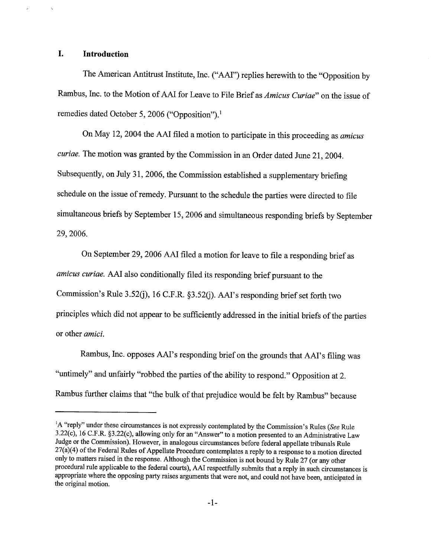#### I. Introduction

The American Antitrust Institute, Inc. ("AAI") replies herewith to the "Opposition by Rambus, Inc. to the Motion of AAI for Leave to File Brief as Amicus Curiae" on the issue of remedies dated October 5, 2006 ("Opposition").<sup>1</sup>

On May 12, 2004 the AAI filed a motion to participate in this proceeding as *amicus* curiae. The motion was granted by the Commission in an Order dated June 21, 2004. Subsequently, on July 31, 2006, the Commission established a supplementary briefing schedule on the issue of remedy. Pursuant to the schedule the parties were directed to file simultaneous briefs by September 15, 2006 and simultaneous responding briefs by September 29, 2006.

On September 29, 2006 AAI filed a motion for leave to file a responding brief as amicus curiae. AAI also conditionally filed its responding brief pursuant to the Commission's Rule 3.52(j), 16 C.F.R.  $\S 3.52$ (j). AAI's responding brief set forth two principles which did not appear to be sufficiently addressed in the initial briefs of the paries or other *amici*.

Rambus, Inc. opposes AAI's responding brief on the grounds that AAI's filing was untimely" and unfairly "robbed the parties of the abilty to respond." Opposition at 2. Rambus further claims that "the bulk of that prejudice would be felt by Rambus" because

<sup>&</sup>lt;sup>1</sup>A "reply" under these circumstances is not expressly contemplated by the Commission's Rules (See Rule 3.22(c), 16 C.F.R. §3.22(c), allowing only for an "Answer" to a motion presented to an Administrative Law Judge or the Commission). However, in analogous circumstances before federal appellate tribunals Rule 27(a)(4) of the Federal Rules of Appellate Procedure contemplates a reply to a response to a motion directed only to matters raised in the response. Although the Commission is not bound by Rule 27 (or any other procedural rule applicable to the federal cours), AAI respectfully submits that a reply in such circumstances is appropriate where the opposing party raises arguments that were not, and could not have been, anticipated in the original motion.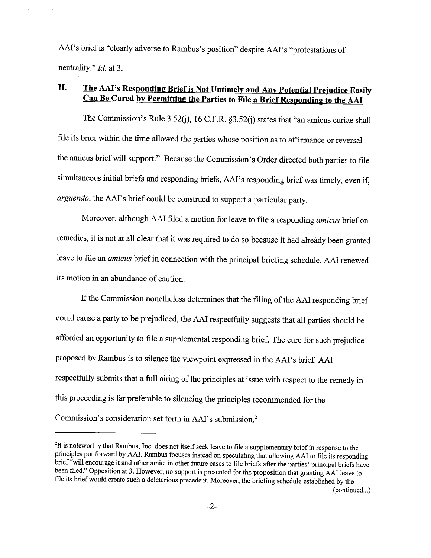AAI's brief is "clearly adverse to Rambus's position" despite AAI's "protestations of neutrality." *Id.* at 3.

# II. The AAI's Responding Brief is Not Untimely and Any Potential Prejudice Easily Can Be Cured by Permitting the Parties to File a Brief Responding to the AAI

The Commission's Rule 3.52(j), 16 C.F.R.  $\S3.52$ (j) states that "an amicus curiae shall fie its brief within the time allowed the paries whose position as to affirmance or reversal the amicus brief will support." Because the Commission's Order directed both parties to file simultaneous initial briefs and responding briefs, AAI's responding brief was timely, even if arguendo, the AAI's brief could be construed to support a particular party.

Moreover, although AAI filed a motion for leave to file a responding amicus brief on remedies, it is not at all clear that it was required to do so because it had already been granted leave to file an *amicus* brief in connection with the principal briefing schedule. AAI renewed its motion in an abundance of caution.

If the Commission nonetheless determines that the filing of the AAI responding brief could cause a party to be prejudiced, the AAI respectfully suggests that all parties should be afforded an opportunity to file a supplemental responding brief. The cure for such prejudice proposed by Rambus is to silence the viewpoint expressed in the AAI's brief. AAI respectfully submits that a full airing of the principles at issue with respect to the remedy in this proceeding is far preferable to silencing the principles recommended for the Commission's consideration set forth in AAI's submission.<sup>2</sup>

<sup>&</sup>lt;sup>2</sup>It is noteworthy that Rambus, Inc. does not itself seek leave to file a supplementary brief in response to the principles put forward by AAI. Rambus focuses instead on speculating that allowing AAI to file its respondi fie its brief would create such a deleterious precedent. Moreover, the briefmg schedule established by the (continued...)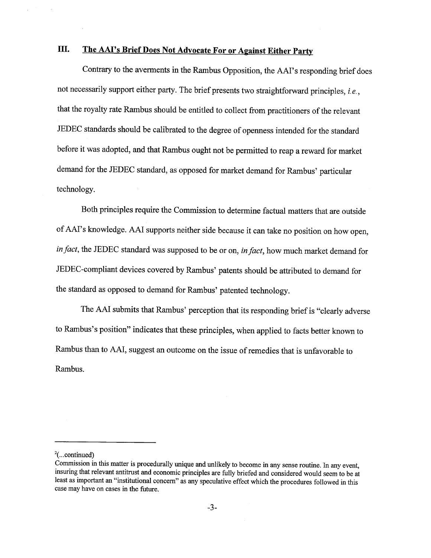# III. The AAI's Brief Does Not Advocate For or Against Either Party

Contrary to the averments in the Rambus Opposition, the AAI's responding brief does not necessarily support either party. The brief presents two straightforward principles, *i.e.*, that the royalty rate Rambus should be entitled to collect from practitioners of the relevant JEDEC standards should be calibrated to the degree of openness intended for the standard before it was adopted, and that Rambus ought not be permitted to reap a reward for market demand for the JEDEC standard, as opposed for market demand for Rambus' paricular technology.

Both principles require the Commission to determine factual matters that are outside of AAI's knowledge. AAI supports neither side because it can take no position on how open in fact, the JEDEC standard was supposed to be or on, in fact, how much market demand for JEDEC-compliant devices covered by Rambus' patents should be attributed to demand for the standard as opposed to demand for Rambus' patented technology.

The AAI submits that Rambus' perception that its responding brief is " clearly adverse to Rambus's position" indicates that these principles, when applied to facts better known to Rambus than to AAI, suggest an outcome on the issue of remedies that is unfavorable to Rambus.

 $\frac{2}{2}$ (...continued)

Commission in this matter is procedurally unique and unlikely to become in any sense routine. In any event insuring that relevant antitrust and economic principles are fully briefed and considered would seem to be at least as important an "institutional concern" as any speculative effect which the procedures followed in this case may have on cases in the future.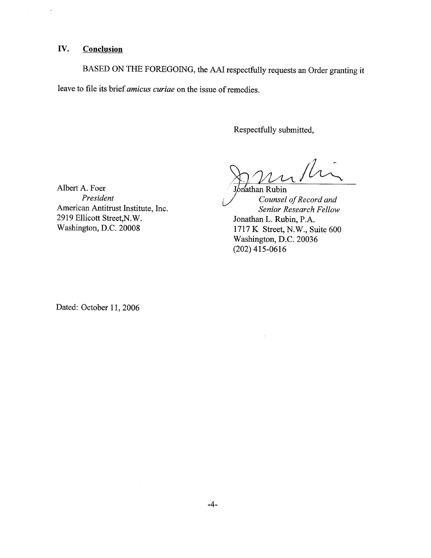### IV. Conclusion

 $\mathcal{L}^{\mathcal{L}}$ 

 $\ddot{\phantom{0}}$ 

BASED ON THE FOREGOING, the AAI respectfully requests an Order granting it leave to file its brief *amicus curiae* on the issue of remedies.

Respectfully submitted

Ri

Albert A. Foer<br>*President* Counsel American Antitrust Institute, Inc.<br>
2919 Ellicott Street, N.W.<br>
Senior Research Fellow<br>
Sonathan L. Rubin. P.A. 2919 Ellicott Street, N.W.<br>
Washington, D.C. 20008 1717 K Street. N.W., St

Counsel of Record and 1717 K Street, N.W., Suite 600 Washington, D.C. 20036 (202) 415-0616

 $\bar{z}$ 

Dated: October 11, 2006